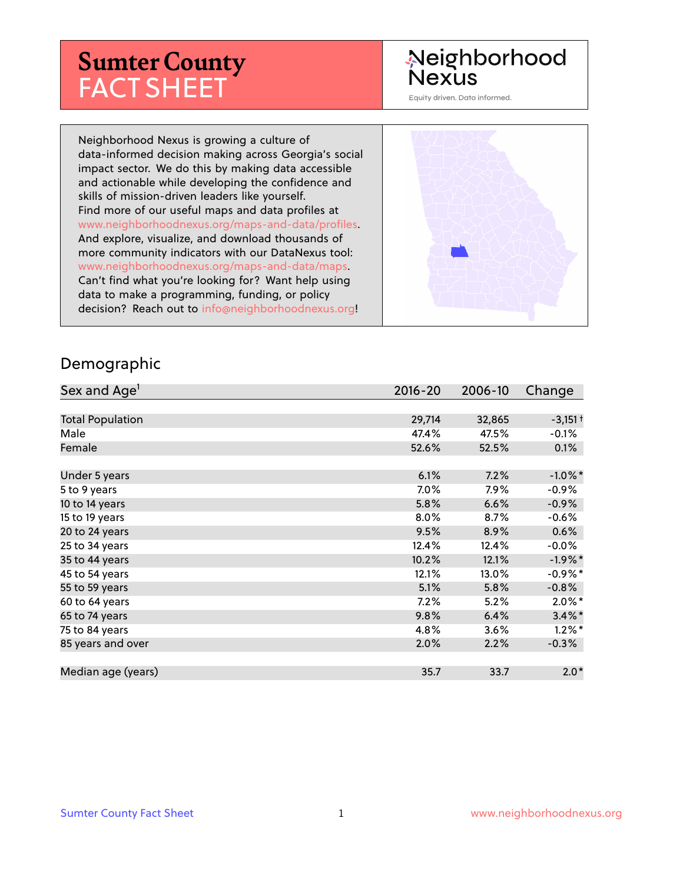# **Sumter County** FACT SHEET

# Neighborhood **Nexus**

Equity driven. Data informed.

Neighborhood Nexus is growing a culture of data-informed decision making across Georgia's social impact sector. We do this by making data accessible and actionable while developing the confidence and skills of mission-driven leaders like yourself. Find more of our useful maps and data profiles at www.neighborhoodnexus.org/maps-and-data/profiles. And explore, visualize, and download thousands of more community indicators with our DataNexus tool: www.neighborhoodnexus.org/maps-and-data/maps. Can't find what you're looking for? Want help using data to make a programming, funding, or policy decision? Reach out to [info@neighborhoodnexus.org!](mailto:info@neighborhoodnexus.org)



#### Demographic

| Sex and Age <sup>1</sup> | $2016 - 20$ | 2006-10 | Change     |
|--------------------------|-------------|---------|------------|
|                          |             |         |            |
| <b>Total Population</b>  | 29,714      | 32,865  | $-3,151+$  |
| Male                     | 47.4%       | 47.5%   | $-0.1\%$   |
| Female                   | 52.6%       | 52.5%   | 0.1%       |
|                          |             |         |            |
| Under 5 years            | 6.1%        | 7.2%    | $-1.0\%$ * |
| 5 to 9 years             | 7.0%        | 7.9%    | $-0.9%$    |
| 10 to 14 years           | 5.8%        | 6.6%    | $-0.9\%$   |
| 15 to 19 years           | 8.0%        | 8.7%    | $-0.6%$    |
| 20 to 24 years           | 9.5%        | 8.9%    | 0.6%       |
| 25 to 34 years           | 12.4%       | 12.4%   | $-0.0\%$   |
| 35 to 44 years           | 10.2%       | 12.1%   | $-1.9\%$ * |
| 45 to 54 years           | 12.1%       | 13.0%   | $-0.9%$ *  |
| 55 to 59 years           | 5.1%        | 5.8%    | $-0.8%$    |
| 60 to 64 years           | 7.2%        | 5.2%    | $2.0\%$ *  |
| 65 to 74 years           | 9.8%        | 6.4%    | $3.4\%$ *  |
| 75 to 84 years           | 4.8%        | 3.6%    | $1.2\%$ *  |
| 85 years and over        | 2.0%        | 2.2%    | $-0.3\%$   |
|                          |             |         |            |
| Median age (years)       | 35.7        | 33.7    | $2.0*$     |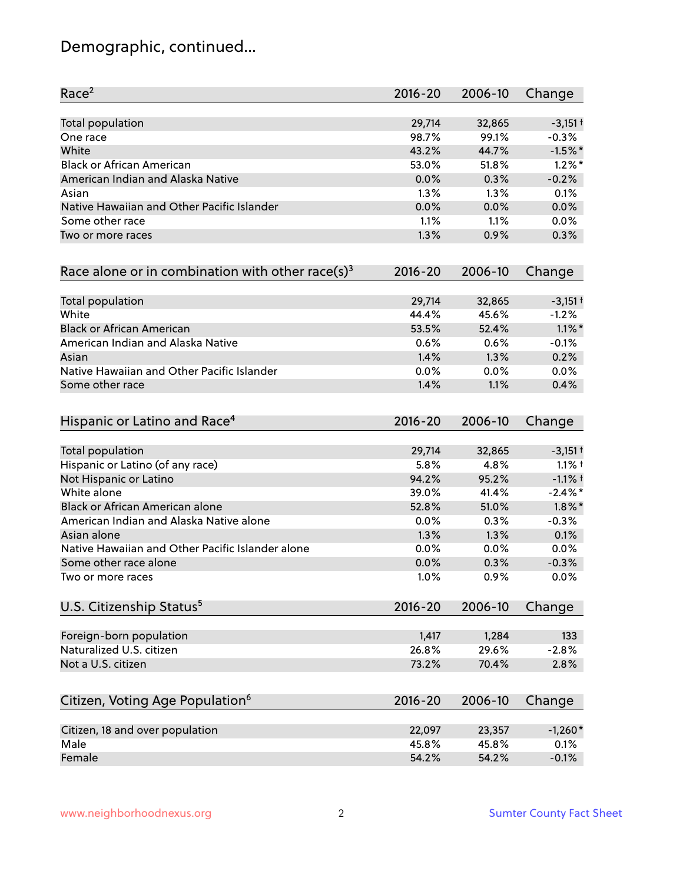# Demographic, continued...

| Race <sup>2</sup>                                            | $2016 - 20$ | 2006-10 | Change     |
|--------------------------------------------------------------|-------------|---------|------------|
| <b>Total population</b>                                      | 29,714      | 32,865  | $-3,151+$  |
| One race                                                     | 98.7%       | 99.1%   | $-0.3%$    |
| White                                                        | 43.2%       | 44.7%   | $-1.5%$ *  |
| <b>Black or African American</b>                             | 53.0%       | 51.8%   | $1.2\%$ *  |
| American Indian and Alaska Native                            | 0.0%        | 0.3%    | $-0.2%$    |
| Asian                                                        | 1.3%        | 1.3%    | 0.1%       |
| Native Hawaiian and Other Pacific Islander                   | 0.0%        | 0.0%    | 0.0%       |
| Some other race                                              | 1.1%        | 1.1%    | 0.0%       |
| Two or more races                                            | 1.3%        | 0.9%    | 0.3%       |
| Race alone or in combination with other race(s) <sup>3</sup> | $2016 - 20$ | 2006-10 | Change     |
| Total population                                             | 29,714      | 32,865  | $-3,151+$  |
| White                                                        | 44.4%       | 45.6%   | $-1.2%$    |
| <b>Black or African American</b>                             | 53.5%       | 52.4%   | $1.1\%$ *  |
| American Indian and Alaska Native                            | 0.6%        | 0.6%    | $-0.1%$    |
| Asian                                                        | 1.4%        | 1.3%    | 0.2%       |
| Native Hawaiian and Other Pacific Islander                   | 0.0%        | 0.0%    | 0.0%       |
| Some other race                                              | 1.4%        | 1.1%    | 0.4%       |
| Hispanic or Latino and Race <sup>4</sup>                     | $2016 - 20$ | 2006-10 | Change     |
| <b>Total population</b>                                      | 29,714      | 32,865  | $-3,151+$  |
| Hispanic or Latino (of any race)                             | 5.8%        | 4.8%    | $1.1%$ †   |
| Not Hispanic or Latino                                       | 94.2%       | 95.2%   | $-1.1%$ +  |
| White alone                                                  | 39.0%       | 41.4%   | $-2.4\%$ * |
| Black or African American alone                              | 52.8%       | 51.0%   | $1.8\%$ *  |
| American Indian and Alaska Native alone                      | 0.0%        | 0.3%    | $-0.3%$    |
| Asian alone                                                  | 1.3%        | 1.3%    | 0.1%       |
| Native Hawaiian and Other Pacific Islander alone             | 0.0%        | 0.0%    | 0.0%       |
| Some other race alone                                        | 0.0%        | 0.3%    | $-0.3%$    |
| Two or more races                                            | 1.0%        | 0.9%    | 0.0%       |
| U.S. Citizenship Status <sup>5</sup>                         | $2016 - 20$ | 2006-10 | Change     |
| Foreign-born population                                      | 1,417       | 1,284   | 133        |
| Naturalized U.S. citizen                                     | 26.8%       | 29.6%   | $-2.8%$    |
| Not a U.S. citizen                                           | 73.2%       | 70.4%   | 2.8%       |
|                                                              |             |         |            |
| Citizen, Voting Age Population <sup>6</sup>                  | $2016 - 20$ | 2006-10 | Change     |
| Citizen, 18 and over population                              | 22,097      | 23,357  | $-1,260*$  |
| Male                                                         | 45.8%       | 45.8%   | 0.1%       |
| Female                                                       | 54.2%       | 54.2%   | $-0.1%$    |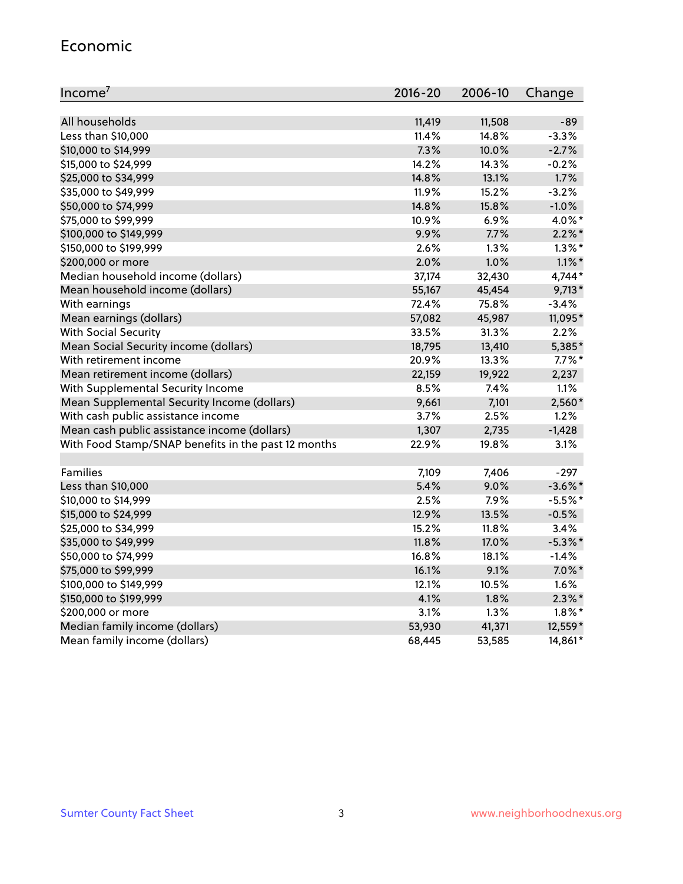#### Economic

| Income <sup>7</sup>                                 | $2016 - 20$ | 2006-10 | Change     |
|-----------------------------------------------------|-------------|---------|------------|
|                                                     |             |         |            |
| All households                                      | 11,419      | 11,508  | $-89$      |
| Less than \$10,000                                  | 11.4%       | 14.8%   | $-3.3%$    |
| \$10,000 to \$14,999                                | 7.3%        | 10.0%   | $-2.7%$    |
| \$15,000 to \$24,999                                | 14.2%       | 14.3%   | $-0.2%$    |
| \$25,000 to \$34,999                                | 14.8%       | 13.1%   | 1.7%       |
| \$35,000 to \$49,999                                | 11.9%       | 15.2%   | $-3.2%$    |
| \$50,000 to \$74,999                                | 14.8%       | 15.8%   | $-1.0%$    |
| \$75,000 to \$99,999                                | 10.9%       | 6.9%    | 4.0%*      |
| \$100,000 to \$149,999                              | 9.9%        | 7.7%    | $2.2\%$ *  |
| \$150,000 to \$199,999                              | 2.6%        | 1.3%    | $1.3\%$ *  |
| \$200,000 or more                                   | 2.0%        | 1.0%    | $1.1\%$ *  |
| Median household income (dollars)                   | 37,174      | 32,430  | 4,744*     |
| Mean household income (dollars)                     | 55,167      | 45,454  | $9,713*$   |
| With earnings                                       | 72.4%       | 75.8%   | $-3.4%$    |
| Mean earnings (dollars)                             | 57,082      | 45,987  | 11,095*    |
| <b>With Social Security</b>                         | 33.5%       | 31.3%   | 2.2%       |
| Mean Social Security income (dollars)               | 18,795      | 13,410  | 5,385*     |
| With retirement income                              | 20.9%       | 13.3%   | $7.7\%$ *  |
| Mean retirement income (dollars)                    | 22,159      | 19,922  | 2,237      |
| With Supplemental Security Income                   | 8.5%        | 7.4%    | 1.1%       |
| Mean Supplemental Security Income (dollars)         | 9,661       | 7,101   | 2,560*     |
| With cash public assistance income                  | 3.7%        | 2.5%    | 1.2%       |
| Mean cash public assistance income (dollars)        | 1,307       | 2,735   | $-1,428$   |
| With Food Stamp/SNAP benefits in the past 12 months | 22.9%       | 19.8%   | 3.1%       |
|                                                     |             |         |            |
| Families                                            | 7,109       | 7,406   | $-297$     |
| Less than \$10,000                                  | 5.4%        | 9.0%    | $-3.6\%$ * |
| \$10,000 to \$14,999                                | 2.5%        | 7.9%    | $-5.5%$ *  |
| \$15,000 to \$24,999                                | 12.9%       | 13.5%   | $-0.5%$    |
| \$25,000 to \$34,999                                | 15.2%       | 11.8%   | 3.4%       |
| \$35,000 to \$49,999                                | 11.8%       | 17.0%   | $-5.3\%$ * |
| \$50,000 to \$74,999                                | 16.8%       | 18.1%   | $-1.4%$    |
| \$75,000 to \$99,999                                | 16.1%       | 9.1%    | $7.0\%$ *  |
| \$100,000 to \$149,999                              | 12.1%       | 10.5%   | 1.6%       |
| \$150,000 to \$199,999                              | 4.1%        | 1.8%    | $2.3\%$ *  |
| \$200,000 or more                                   | 3.1%        | 1.3%    | $1.8\%$ *  |
| Median family income (dollars)                      | 53,930      | 41,371  | 12,559*    |
| Mean family income (dollars)                        | 68,445      | 53,585  | 14,861*    |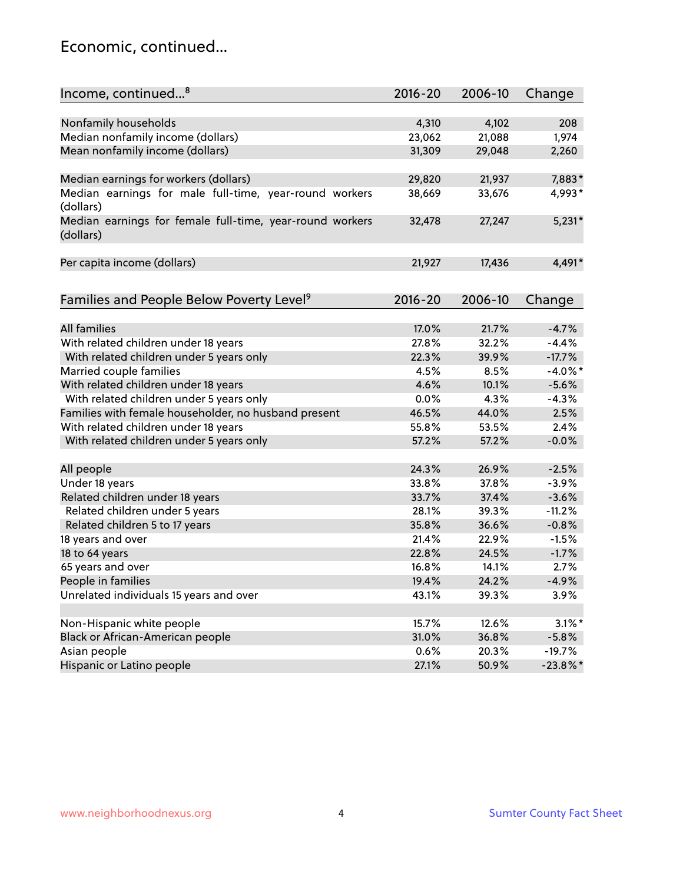### Economic, continued...

| Income, continued <sup>8</sup>                           | $2016 - 20$    | 2006-10        | Change             |
|----------------------------------------------------------|----------------|----------------|--------------------|
|                                                          |                |                |                    |
| Nonfamily households                                     | 4,310          | 4,102          | 208                |
| Median nonfamily income (dollars)                        | 23,062         | 21,088         | 1,974              |
| Mean nonfamily income (dollars)                          | 31,309         | 29,048         | 2,260              |
|                                                          |                |                |                    |
| Median earnings for workers (dollars)                    | 29,820         | 21,937         | 7,883*             |
| Median earnings for male full-time, year-round workers   | 38,669         | 33,676         | 4,993*             |
| (dollars)                                                |                |                |                    |
| Median earnings for female full-time, year-round workers | 32,478         | 27,247         | $5,231*$           |
| (dollars)                                                |                |                |                    |
|                                                          |                |                |                    |
| Per capita income (dollars)                              | 21,927         | 17,436         | 4,491*             |
|                                                          |                |                |                    |
|                                                          | $2016 - 20$    | 2006-10        |                    |
| Families and People Below Poverty Level <sup>9</sup>     |                |                | Change             |
| All families                                             |                |                |                    |
|                                                          | 17.0%<br>27.8% | 21.7%<br>32.2% | $-4.7%$<br>$-4.4%$ |
| With related children under 18 years                     |                |                |                    |
| With related children under 5 years only                 | 22.3%          | 39.9%<br>8.5%  | $-17.7%$           |
| Married couple families                                  | 4.5%<br>4.6%   |                | $-4.0\%$ *         |
| With related children under 18 years                     |                | 10.1%          | $-5.6%$            |
| With related children under 5 years only                 | 0.0%           | 4.3%           | $-4.3%$            |
| Families with female householder, no husband present     | 46.5%          | 44.0%          | 2.5%               |
| With related children under 18 years                     | 55.8%          | 53.5%          | 2.4%               |
| With related children under 5 years only                 | 57.2%          | 57.2%          | $-0.0%$            |
|                                                          | 24.3%          | 26.9%          | $-2.5%$            |
| All people                                               | 33.8%          | 37.8%          | $-3.9%$            |
| Under 18 years                                           | 33.7%          |                | $-3.6%$            |
| Related children under 18 years                          | 28.1%          | 37.4%<br>39.3% |                    |
| Related children under 5 years                           |                |                | $-11.2%$           |
| Related children 5 to 17 years                           | 35.8%          | 36.6%          | $-0.8%$            |
| 18 years and over                                        | 21.4%          | 22.9%          | $-1.5%$            |
| 18 to 64 years                                           | 22.8%          | 24.5%          | $-1.7%$            |
| 65 years and over                                        | 16.8%          | 14.1%          | 2.7%               |
| People in families                                       | 19.4%          | 24.2%          | $-4.9%$            |
| Unrelated individuals 15 years and over                  | 43.1%          | 39.3%          | 3.9%               |
|                                                          |                |                |                    |
| Non-Hispanic white people                                | 15.7%          | 12.6%          | $3.1\%$ *          |
| Black or African-American people                         | 31.0%          | 36.8%          | $-5.8%$            |
| Asian people                                             | 0.6%           | 20.3%          | $-19.7%$           |
| Hispanic or Latino people                                | 27.1%          | 50.9%          | $-23.8\%$ *        |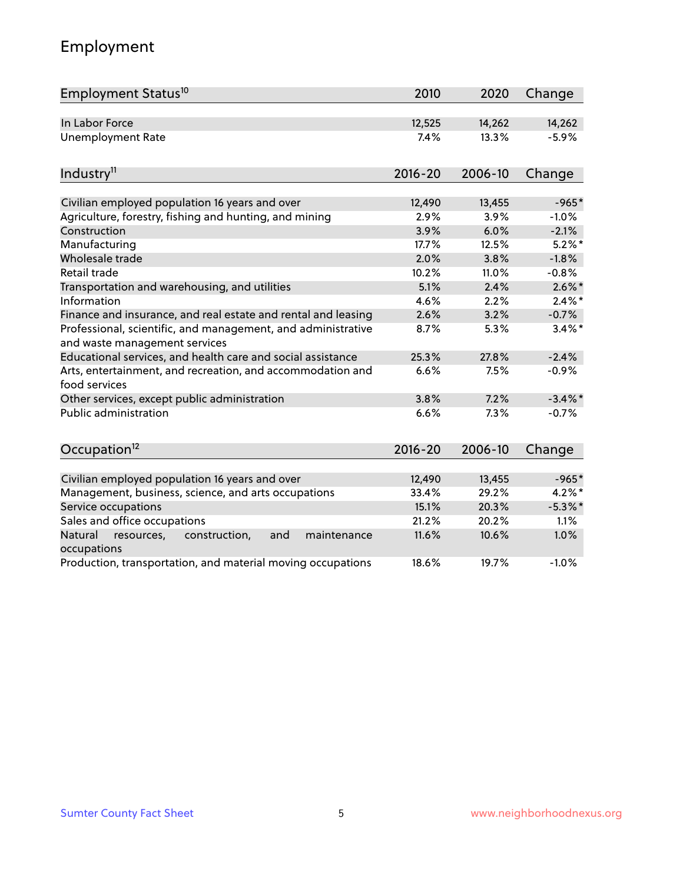# Employment

| Employment Status <sup>10</sup>                                                               | 2010        | 2020    | Change     |
|-----------------------------------------------------------------------------------------------|-------------|---------|------------|
| In Labor Force                                                                                | 12,525      | 14,262  | 14,262     |
| <b>Unemployment Rate</b>                                                                      | 7.4%        | 13.3%   | $-5.9%$    |
| Industry <sup>11</sup>                                                                        | $2016 - 20$ | 2006-10 | Change     |
| Civilian employed population 16 years and over                                                | 12,490      | 13,455  | $-965*$    |
| Agriculture, forestry, fishing and hunting, and mining                                        | 2.9%        | 3.9%    | $-1.0%$    |
| Construction                                                                                  | 3.9%        | 6.0%    | $-2.1%$    |
| Manufacturing                                                                                 | 17.7%       | 12.5%   | $5.2\%$ *  |
| Wholesale trade                                                                               | 2.0%        | 3.8%    | $-1.8%$    |
| Retail trade                                                                                  | 10.2%       | 11.0%   | $-0.8%$    |
| Transportation and warehousing, and utilities                                                 | 5.1%        | 2.4%    | $2.6\%$ *  |
| Information                                                                                   | 4.6%        | 2.2%    | $2.4\%$ *  |
| Finance and insurance, and real estate and rental and leasing                                 | 2.6%        | 3.2%    | $-0.7%$    |
| Professional, scientific, and management, and administrative<br>and waste management services | 8.7%        | 5.3%    | $3.4\%$ *  |
| Educational services, and health care and social assistance                                   | 25.3%       | 27.8%   | $-2.4%$    |
| Arts, entertainment, and recreation, and accommodation and<br>food services                   | 6.6%        | 7.5%    | $-0.9%$    |
| Other services, except public administration                                                  | 3.8%        | 7.2%    | $-3.4\%$ * |
| <b>Public administration</b>                                                                  | 6.6%        | 7.3%    | $-0.7%$    |
| Occupation <sup>12</sup>                                                                      | $2016 - 20$ | 2006-10 | Change     |
|                                                                                               |             |         |            |
| Civilian employed population 16 years and over                                                | 12,490      | 13,455  | $-965*$    |
| Management, business, science, and arts occupations                                           | 33.4%       | 29.2%   | $4.2\%$ *  |
| Service occupations                                                                           | 15.1%       | 20.3%   | $-5.3\%$ * |
| Sales and office occupations                                                                  | 21.2%       | 20.2%   | 1.1%       |
| Natural<br>resources,<br>construction,<br>and<br>maintenance<br>occupations                   | 11.6%       | 10.6%   | 1.0%       |
| Production, transportation, and material moving occupations                                   | 18.6%       | 19.7%   | $-1.0%$    |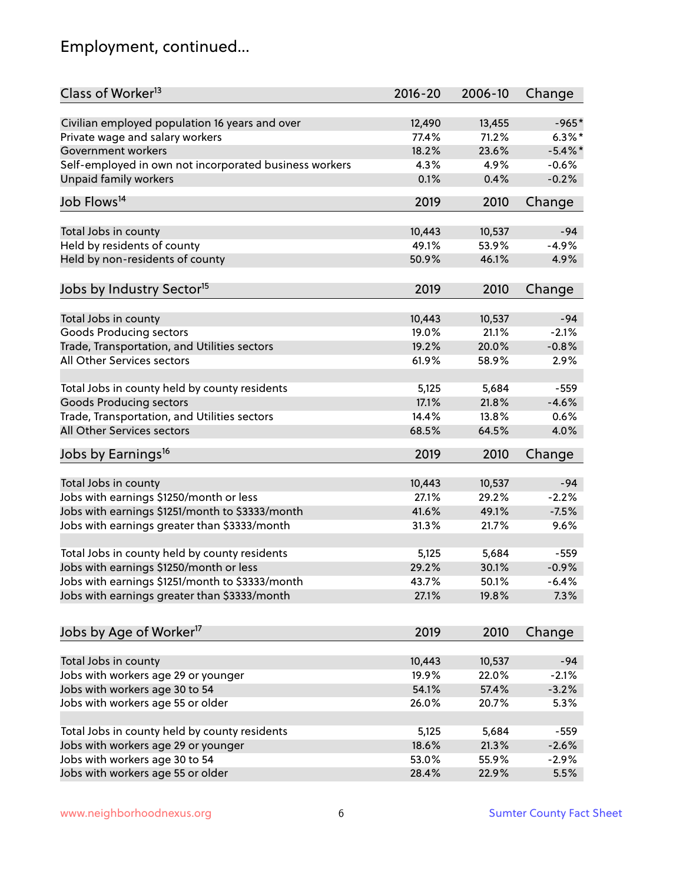# Employment, continued...

| Class of Worker <sup>13</sup>                          | $2016 - 20$ | 2006-10 | Change     |
|--------------------------------------------------------|-------------|---------|------------|
| Civilian employed population 16 years and over         | 12,490      | 13,455  | $-965*$    |
| Private wage and salary workers                        | 77.4%       | 71.2%   | $6.3\%$ *  |
| Government workers                                     | 18.2%       | 23.6%   | $-5.4\%$ * |
| Self-employed in own not incorporated business workers | 4.3%        | 4.9%    | $-0.6%$    |
| Unpaid family workers                                  | 0.1%        | 0.4%    | $-0.2%$    |
| Job Flows <sup>14</sup>                                | 2019        | 2010    | Change     |
|                                                        |             |         |            |
| Total Jobs in county                                   | 10,443      | 10,537  | $-94$      |
| Held by residents of county                            | 49.1%       | 53.9%   | $-4.9%$    |
| Held by non-residents of county                        | 50.9%       | 46.1%   | 4.9%       |
| Jobs by Industry Sector <sup>15</sup>                  | 2019        | 2010    | Change     |
| Total Jobs in county                                   | 10,443      | 10,537  | $-94$      |
| Goods Producing sectors                                | 19.0%       | 21.1%   | $-2.1%$    |
| Trade, Transportation, and Utilities sectors           | 19.2%       | 20.0%   | $-0.8%$    |
| All Other Services sectors                             | 61.9%       | 58.9%   | 2.9%       |
|                                                        |             |         |            |
| Total Jobs in county held by county residents          | 5,125       | 5,684   | $-559$     |
| <b>Goods Producing sectors</b>                         | 17.1%       | 21.8%   | $-4.6%$    |
| Trade, Transportation, and Utilities sectors           | 14.4%       | 13.8%   | 0.6%       |
| All Other Services sectors                             | 68.5%       | 64.5%   | 4.0%       |
| Jobs by Earnings <sup>16</sup>                         | 2019        | 2010    | Change     |
|                                                        |             |         |            |
| Total Jobs in county                                   | 10,443      | 10,537  | $-94$      |
| Jobs with earnings \$1250/month or less                | 27.1%       | 29.2%   | $-2.2%$    |
| Jobs with earnings \$1251/month to \$3333/month        | 41.6%       | 49.1%   | $-7.5%$    |
| Jobs with earnings greater than \$3333/month           | 31.3%       | 21.7%   | 9.6%       |
| Total Jobs in county held by county residents          | 5,125       | 5,684   | $-559$     |
| Jobs with earnings \$1250/month or less                | 29.2%       | 30.1%   | $-0.9%$    |
| Jobs with earnings \$1251/month to \$3333/month        | 43.7%       | 50.1%   | $-6.4%$    |
| Jobs with earnings greater than \$3333/month           | 27.1%       | 19.8%   | 7.3%       |
| Jobs by Age of Worker <sup>17</sup>                    | 2019        | 2010    | Change     |
|                                                        |             |         |            |
| Total Jobs in county                                   | 10,443      | 10,537  | $-94$      |
| Jobs with workers age 29 or younger                    | 19.9%       | 22.0%   | $-2.1%$    |
| Jobs with workers age 30 to 54                         | 54.1%       | 57.4%   | $-3.2%$    |
| Jobs with workers age 55 or older                      | 26.0%       | 20.7%   | 5.3%       |
|                                                        |             |         |            |
| Total Jobs in county held by county residents          | 5,125       | 5,684   | $-559$     |
| Jobs with workers age 29 or younger                    | 18.6%       | 21.3%   | $-2.6%$    |
| Jobs with workers age 30 to 54                         | 53.0%       | 55.9%   | $-2.9%$    |
| Jobs with workers age 55 or older                      | 28.4%       | 22.9%   | 5.5%       |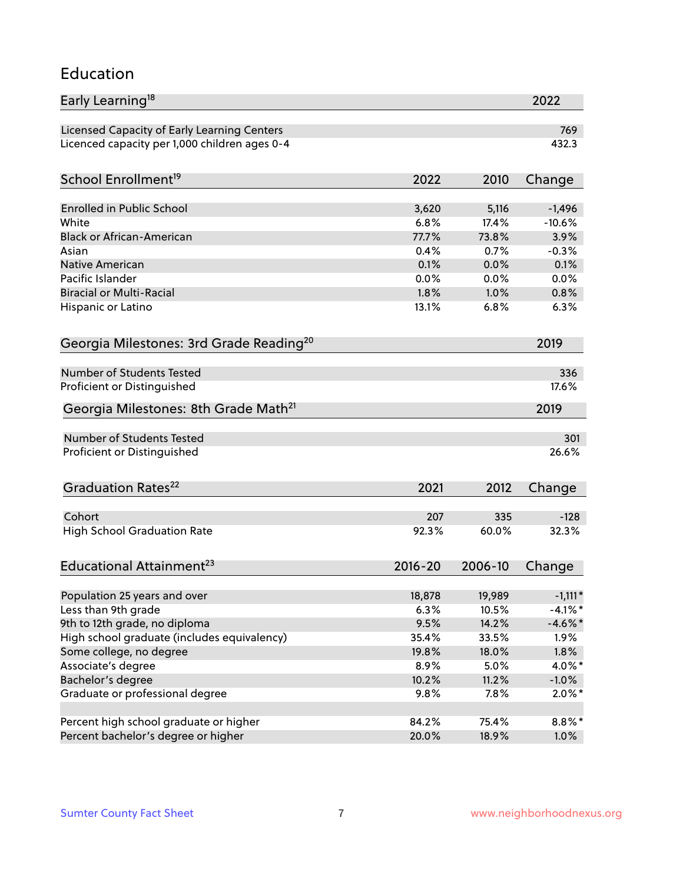#### Education

| Early Learning <sup>18</sup>                        |               |              | 2022            |
|-----------------------------------------------------|---------------|--------------|-----------------|
| Licensed Capacity of Early Learning Centers         |               |              | 769             |
| Licenced capacity per 1,000 children ages 0-4       |               |              | 432.3           |
| School Enrollment <sup>19</sup>                     | 2022          | 2010         | Change          |
|                                                     |               |              |                 |
| <b>Enrolled in Public School</b>                    | 3,620         | 5,116        | $-1,496$        |
| White                                               | 6.8%          | 17.4%        | $-10.6%$        |
| <b>Black or African-American</b>                    | 77.7%<br>0.4% | 73.8%        | 3.9%            |
| Asian                                               |               | 0.7%         | $-0.3%$         |
| <b>Native American</b><br>Pacific Islander          | 0.1%<br>0.0%  | 0.0%         | 0.1%            |
| <b>Biracial or Multi-Racial</b>                     | 1.8%          | 0.0%<br>1.0% | 0.0%<br>0.8%    |
|                                                     |               |              |                 |
| Hispanic or Latino                                  | 13.1%         | 6.8%         | 6.3%            |
| Georgia Milestones: 3rd Grade Reading <sup>20</sup> |               |              | 2019            |
| Number of Students Tested                           |               |              | 336             |
| Proficient or Distinguished                         |               |              | 17.6%           |
|                                                     |               |              |                 |
| Georgia Milestones: 8th Grade Math <sup>21</sup>    |               |              | 2019            |
| Number of Students Tested                           |               |              | 301             |
| Proficient or Distinguished                         |               |              | 26.6%           |
| Graduation Rates <sup>22</sup>                      | 2021          | 2012         | Change          |
| Cohort                                              | 207           |              |                 |
|                                                     | 92.3%         | 335<br>60.0% | $-128$<br>32.3% |
| <b>High School Graduation Rate</b>                  |               |              |                 |
| Educational Attainment <sup>23</sup>                | $2016 - 20$   | 2006-10      | Change          |
| Population 25 years and over                        | 18,878        | 19,989       | $-1,111*$       |
| Less than 9th grade                                 | 6.3%          | 10.5%        | $-4.1\%$ *      |
| 9th to 12th grade, no diploma                       | 9.5%          | 14.2%        | $-4.6\%$ *      |
| High school graduate (includes equivalency)         | 35.4%         | 33.5%        | 1.9%            |
| Some college, no degree                             | 19.8%         | 18.0%        | $1.8\%$         |
| Associate's degree                                  | 8.9%          | 5.0%         | $4.0\%$ *       |
| Bachelor's degree                                   | 10.2%         | 11.2%        | $-1.0\%$        |
| Graduate or professional degree                     | 9.8%          | 7.8%         | $2.0\%$ *       |
|                                                     |               |              |                 |
| Percent high school graduate or higher              | 84.2%         | 75.4%        | $8.8\%$ *       |
| Percent bachelor's degree or higher                 | 20.0%         | 18.9%        | 1.0%            |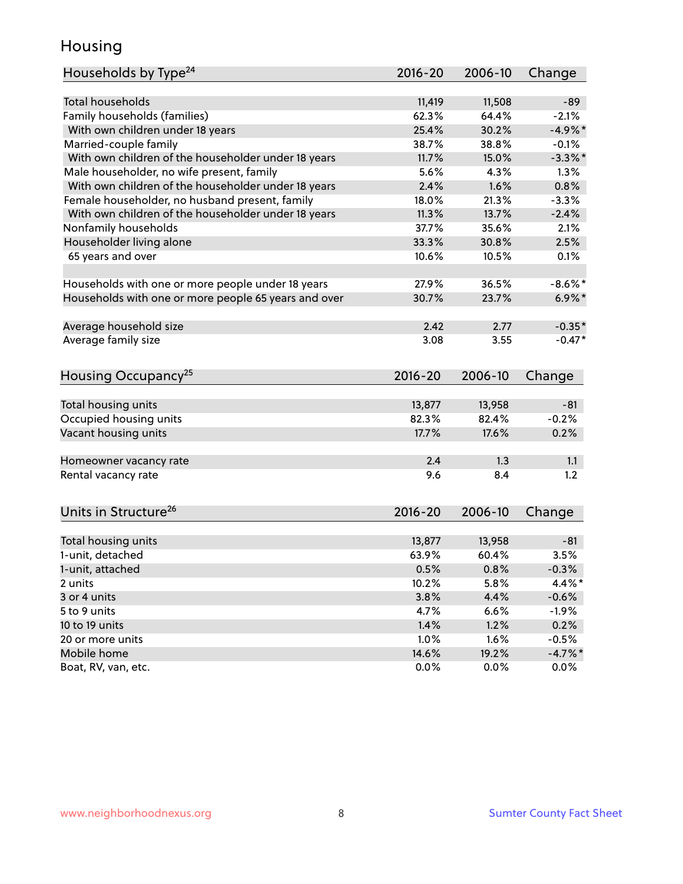### Housing

| Households by Type <sup>24</sup>                     | 2016-20     | 2006-10 | Change     |
|------------------------------------------------------|-------------|---------|------------|
|                                                      |             |         |            |
| <b>Total households</b>                              | 11,419      | 11,508  | $-89$      |
| Family households (families)                         | 62.3%       | 64.4%   | $-2.1%$    |
| With own children under 18 years                     | 25.4%       | 30.2%   | $-4.9%$ *  |
| Married-couple family                                | 38.7%       | 38.8%   | $-0.1%$    |
| With own children of the householder under 18 years  | 11.7%       | 15.0%   | $-3.3\%$ * |
| Male householder, no wife present, family            | 5.6%        | 4.3%    | 1.3%       |
| With own children of the householder under 18 years  | 2.4%        | 1.6%    | 0.8%       |
| Female householder, no husband present, family       | 18.0%       | 21.3%   | $-3.3%$    |
| With own children of the householder under 18 years  | 11.3%       | 13.7%   | $-2.4%$    |
| Nonfamily households                                 | 37.7%       | 35.6%   | 2.1%       |
| Householder living alone                             | 33.3%       | 30.8%   | 2.5%       |
| 65 years and over                                    | 10.6%       | 10.5%   | 0.1%       |
| Households with one or more people under 18 years    | 27.9%       | 36.5%   | $-8.6\%$ * |
| Households with one or more people 65 years and over | 30.7%       | 23.7%   | $6.9\%$ *  |
|                                                      |             |         |            |
| Average household size                               | 2.42        | 2.77    | $-0.35*$   |
| Average family size                                  | 3.08        | 3.55    | $-0.47*$   |
| Housing Occupancy <sup>25</sup>                      | $2016 - 20$ | 2006-10 | Change     |
| Total housing units                                  | 13,877      | 13,958  | $-81$      |
| Occupied housing units                               | 82.3%       | 82.4%   | $-0.2%$    |
| Vacant housing units                                 | 17.7%       | 17.6%   | 0.2%       |
|                                                      |             |         |            |
| Homeowner vacancy rate                               | 2.4         | 1.3     | 1.1        |
| Rental vacancy rate                                  | 9.6         | 8.4     | 1.2        |
| Units in Structure <sup>26</sup>                     | $2016 - 20$ | 2006-10 | Change     |
|                                                      | 13,877      | 13,958  | $-81$      |
| Total housing units<br>1-unit, detached              | 63.9%       | 60.4%   | 3.5%       |
|                                                      |             |         |            |
| 1-unit, attached                                     | 0.5%        | 0.8%    | $-0.3%$    |
| 2 units<br>3 or 4 units                              | 10.2%       | 5.8%    | 4.4%*      |
|                                                      | 3.8%        | 4.4%    | $-0.6%$    |
| 5 to 9 units                                         | 4.7%        | 6.6%    | $-1.9%$    |
| 10 to 19 units                                       | 1.4%        | 1.2%    | 0.2%       |
| 20 or more units                                     | 1.0%        | 1.6%    | $-0.5%$    |
| Mobile home                                          | 14.6%       | 19.2%   | $-4.7%$ *  |
| Boat, RV, van, etc.                                  | 0.0%        | 0.0%    | $0.0\%$    |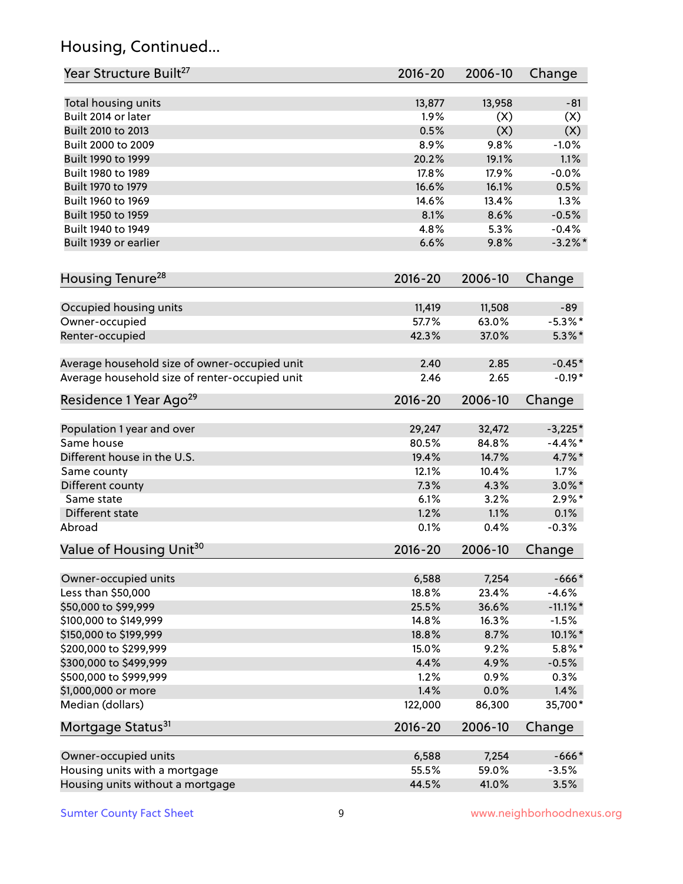# Housing, Continued...

| Year Structure Built <sup>27</sup>             | 2016-20     | 2006-10 | Change      |
|------------------------------------------------|-------------|---------|-------------|
| Total housing units                            | 13,877      | 13,958  | $-81$       |
| Built 2014 or later                            | 1.9%        | (X)     | (X)         |
| Built 2010 to 2013                             | 0.5%        | (X)     | (X)         |
| Built 2000 to 2009                             | 8.9%        | 9.8%    | $-1.0%$     |
| Built 1990 to 1999                             | 20.2%       | 19.1%   | 1.1%        |
| Built 1980 to 1989                             | 17.8%       | 17.9%   | $-0.0%$     |
| Built 1970 to 1979                             | 16.6%       | 16.1%   | 0.5%        |
| Built 1960 to 1969                             | 14.6%       | 13.4%   | 1.3%        |
| Built 1950 to 1959                             | 8.1%        | 8.6%    | $-0.5%$     |
| Built 1940 to 1949                             | 4.8%        | 5.3%    | $-0.4%$     |
| Built 1939 or earlier                          | 6.6%        | 9.8%    | $-3.2\%$ *  |
|                                                |             |         |             |
| Housing Tenure <sup>28</sup>                   | $2016 - 20$ | 2006-10 | Change      |
| Occupied housing units                         | 11,419      | 11,508  | $-89$       |
| Owner-occupied                                 | 57.7%       | 63.0%   | $-5.3\%$ *  |
| Renter-occupied                                | 42.3%       | 37.0%   | $5.3\%$ *   |
|                                                |             |         |             |
| Average household size of owner-occupied unit  | 2.40        | 2.85    | $-0.45*$    |
| Average household size of renter-occupied unit | 2.46        | 2.65    | $-0.19*$    |
| Residence 1 Year Ago <sup>29</sup>             | 2016-20     | 2006-10 | Change      |
| Population 1 year and over                     | 29,247      | 32,472  | $-3,225*$   |
| Same house                                     | 80.5%       | 84.8%   | $-4.4\%$ *  |
| Different house in the U.S.                    | 19.4%       | 14.7%   | 4.7%*       |
| Same county                                    | 12.1%       | 10.4%   | 1.7%        |
| Different county                               | 7.3%        | 4.3%    | $3.0\%$ *   |
| Same state                                     | 6.1%        | 3.2%    | $2.9\%*$    |
| Different state                                | 1.2%        | 1.1%    | 0.1%        |
| Abroad                                         | 0.1%        | 0.4%    | $-0.3%$     |
| Value of Housing Unit <sup>30</sup>            | $2016 - 20$ | 2006-10 | Change      |
|                                                |             |         |             |
| Owner-occupied units                           | 6,588       | 7,254   | $-666*$     |
| Less than \$50,000                             | 18.8%       | 23.4%   | $-4.6%$     |
| \$50,000 to \$99,999                           | 25.5%       | 36.6%   | $-11.1\%$ * |
| \$100,000 to \$149,999                         | 14.8%       | 16.3%   | $-1.5%$     |
| \$150,000 to \$199,999                         | 18.8%       | 8.7%    | 10.1%*      |
| \$200,000 to \$299,999                         | 15.0%       | 9.2%    | $5.8\%$ *   |
| \$300,000 to \$499,999                         | 4.4%        | 4.9%    | $-0.5%$     |
| \$500,000 to \$999,999                         | 1.2%        | 0.9%    | 0.3%        |
| \$1,000,000 or more                            | 1.4%        | 0.0%    | 1.4%        |
| Median (dollars)                               | 122,000     | 86,300  | 35,700*     |
| Mortgage Status <sup>31</sup>                  | $2016 - 20$ | 2006-10 | Change      |
| Owner-occupied units                           | 6,588       | 7,254   | $-666*$     |
| Housing units with a mortgage                  | 55.5%       | 59.0%   | $-3.5%$     |
| Housing units without a mortgage               | 44.5%       | 41.0%   | 3.5%        |
|                                                |             |         |             |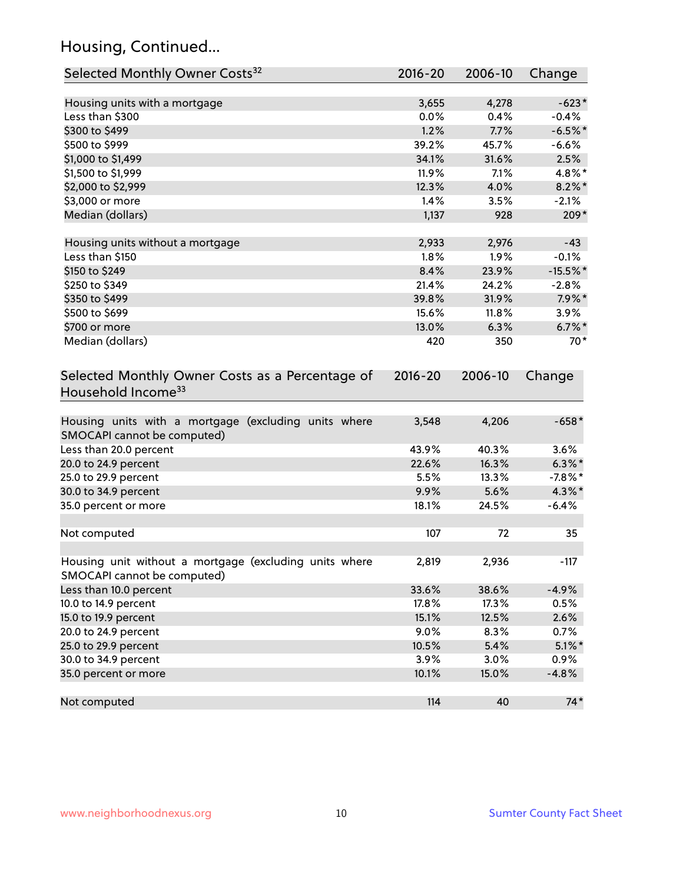# Housing, Continued...

| Selected Monthly Owner Costs <sup>32</sup>                                            | $2016 - 20$ | 2006-10 | Change     |
|---------------------------------------------------------------------------------------|-------------|---------|------------|
| Housing units with a mortgage                                                         | 3,655       | 4,278   | $-623*$    |
| Less than \$300                                                                       | 0.0%        | 0.4%    | $-0.4%$    |
| \$300 to \$499                                                                        | 1.2%        | 7.7%    | $-6.5%$ *  |
| \$500 to \$999                                                                        | 39.2%       | 45.7%   | $-6.6%$    |
| \$1,000 to \$1,499                                                                    | 34.1%       | 31.6%   | 2.5%       |
| \$1,500 to \$1,999                                                                    | 11.9%       | 7.1%    | 4.8%*      |
| \$2,000 to \$2,999                                                                    | 12.3%       | 4.0%    | $8.2\%$ *  |
| \$3,000 or more                                                                       | 1.4%        | 3.5%    | $-2.1%$    |
| Median (dollars)                                                                      | 1,137       | 928     | $209*$     |
| Housing units without a mortgage                                                      | 2,933       | 2,976   | $-43$      |
| Less than \$150                                                                       | 1.8%        | 1.9%    | $-0.1%$    |
| \$150 to \$249                                                                        | 8.4%        | 23.9%   | $-15.5%$ * |
| \$250 to \$349                                                                        | 21.4%       | 24.2%   | $-2.8%$    |
| \$350 to \$499                                                                        | 39.8%       | 31.9%   | $7.9\%$ *  |
| \$500 to \$699                                                                        | 15.6%       | 11.8%   | 3.9%       |
| \$700 or more                                                                         | 13.0%       | 6.3%    | $6.7\%$ *  |
| Median (dollars)                                                                      | 420         | 350     | $70*$      |
| Selected Monthly Owner Costs as a Percentage of<br>Household Income <sup>33</sup>     | $2016 - 20$ | 2006-10 | Change     |
| Housing units with a mortgage (excluding units where<br>SMOCAPI cannot be computed)   | 3,548       | 4,206   | $-658*$    |
| Less than 20.0 percent                                                                | 43.9%       | 40.3%   | 3.6%       |
| 20.0 to 24.9 percent                                                                  | 22.6%       | 16.3%   | $6.3\% *$  |
| 25.0 to 29.9 percent                                                                  | 5.5%        | 13.3%   | $-7.8\%$ * |
| 30.0 to 34.9 percent                                                                  | 9.9%        | 5.6%    | $4.3\%$ *  |
| 35.0 percent or more                                                                  | 18.1%       | 24.5%   | $-6.4%$    |
| Not computed                                                                          | 107         | 72      | 35         |
| Housing unit without a mortgage (excluding units where<br>SMOCAPI cannot be computed) | 2,819       | 2,936   | $-117$     |
| Less than 10.0 percent                                                                | 33.6%       | 38.6%   | $-4.9%$    |
| 10.0 to 14.9 percent                                                                  | 17.8%       | 17.3%   | 0.5%       |
| 15.0 to 19.9 percent                                                                  | 15.1%       | 12.5%   | 2.6%       |
| 20.0 to 24.9 percent                                                                  | 9.0%        | 8.3%    | 0.7%       |
| 25.0 to 29.9 percent                                                                  | 10.5%       | 5.4%    | $5.1\%$ *  |
| 30.0 to 34.9 percent                                                                  | 3.9%        | 3.0%    | 0.9%       |
| 35.0 percent or more                                                                  | 10.1%       | 15.0%   | $-4.8%$    |
| Not computed                                                                          | 114         | 40      | $74*$      |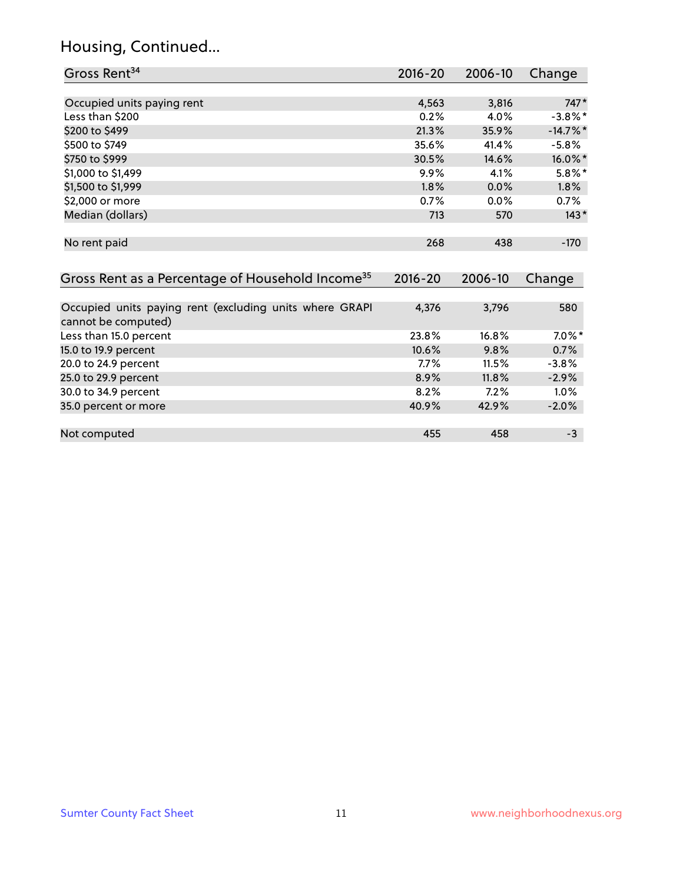# Housing, Continued...

| Gross Rent <sup>34</sup>                                                       | 2016-20     | 2006-10 | Change      |
|--------------------------------------------------------------------------------|-------------|---------|-------------|
|                                                                                |             |         |             |
| Occupied units paying rent                                                     | 4,563       | 3,816   | $747*$      |
| Less than \$200                                                                | 0.2%        | 4.0%    | $-3.8\%$ *  |
| \$200 to \$499                                                                 | 21.3%       | 35.9%   | $-14.7\%$ * |
| \$500 to \$749                                                                 | 35.6%       | 41.4%   | $-5.8%$     |
| \$750 to \$999                                                                 | 30.5%       | 14.6%   | 16.0%*      |
| \$1,000 to \$1,499                                                             | 9.9%        | 4.1%    | $5.8\%$ *   |
| \$1,500 to \$1,999                                                             | 1.8%        | 0.0%    | 1.8%        |
| \$2,000 or more                                                                | 0.7%        | 0.0%    | 0.7%        |
| Median (dollars)                                                               | 713         | 570     | $143*$      |
| No rent paid                                                                   | 268         | 438     | $-170$      |
| Gross Rent as a Percentage of Household Income <sup>35</sup>                   | $2016 - 20$ | 2006-10 | Change      |
| Occupied units paying rent (excluding units where GRAPI<br>cannot be computed) | 4,376       | 3,796   | 580         |
| Less than 15.0 percent                                                         | 23.8%       | 16.8%   | $7.0\%$ *   |
| 15.0 to 19.9 percent                                                           | 10.6%       | 9.8%    | 0.7%        |
| 20.0 to 24.9 percent                                                           | 7.7%        | 11.5%   | $-3.8%$     |
| 25.0 to 29.9 percent                                                           | 8.9%        | 11.8%   | $-2.9%$     |
| 30.0 to 34.9 percent                                                           | 8.2%        | 7.2%    | 1.0%        |
| 35.0 percent or more                                                           | 40.9%       | 42.9%   | $-2.0%$     |
| Not computed                                                                   | 455         | 458     | $-3$        |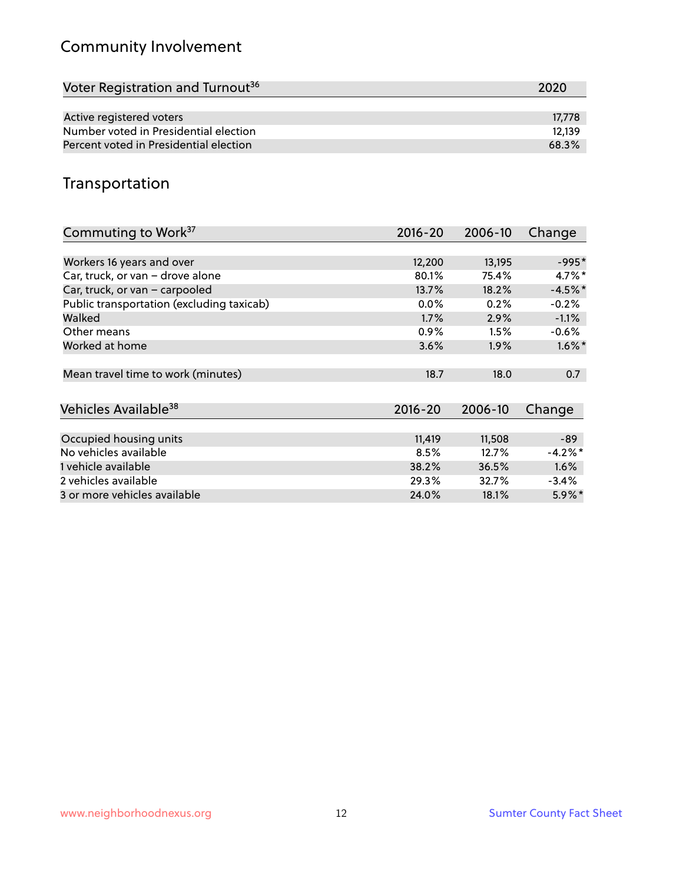# Community Involvement

| Voter Registration and Turnout <sup>36</sup> | 2020   |
|----------------------------------------------|--------|
|                                              |        |
| Active registered voters                     | 17.778 |
| Number voted in Presidential election        | 12.139 |
| Percent voted in Presidential election       | 68.3%  |

# Transportation

| Commuting to Work <sup>37</sup>           | 2016-20     | 2006-10 | Change     |
|-------------------------------------------|-------------|---------|------------|
|                                           |             |         |            |
| Workers 16 years and over                 | 12,200      | 13,195  | $-995*$    |
| Car, truck, or van - drove alone          | 80.1%       | 75.4%   | $4.7\%$ *  |
| Car, truck, or van - carpooled            | 13.7%       | 18.2%   | $-4.5%$ *  |
| Public transportation (excluding taxicab) | $0.0\%$     | 0.2%    | $-0.2%$    |
| Walked                                    | 1.7%        | 2.9%    | $-1.1%$    |
| Other means                               | 0.9%        | 1.5%    | $-0.6\%$   |
| Worked at home                            | 3.6%        | 1.9%    | $1.6\%$ *  |
|                                           |             |         |            |
| Mean travel time to work (minutes)        | 18.7        | 18.0    | 0.7        |
|                                           |             |         |            |
| Vehicles Available <sup>38</sup>          | $2016 - 20$ | 2006-10 | Change     |
|                                           |             |         |            |
| Occupied housing units                    | 11,419      | 11,508  | $-89$      |
| No vehicles available                     | 8.5%        | 12.7%   | $-4.2\%$ * |
| 1 vehicle available                       | 38.2%       | 36.5%   | 1.6%       |
| 2 vehicles available                      | 29.3%       | 32.7%   | $-3.4%$    |
| 3 or more vehicles available              | 24.0%       | 18.1%   | $5.9\%$ *  |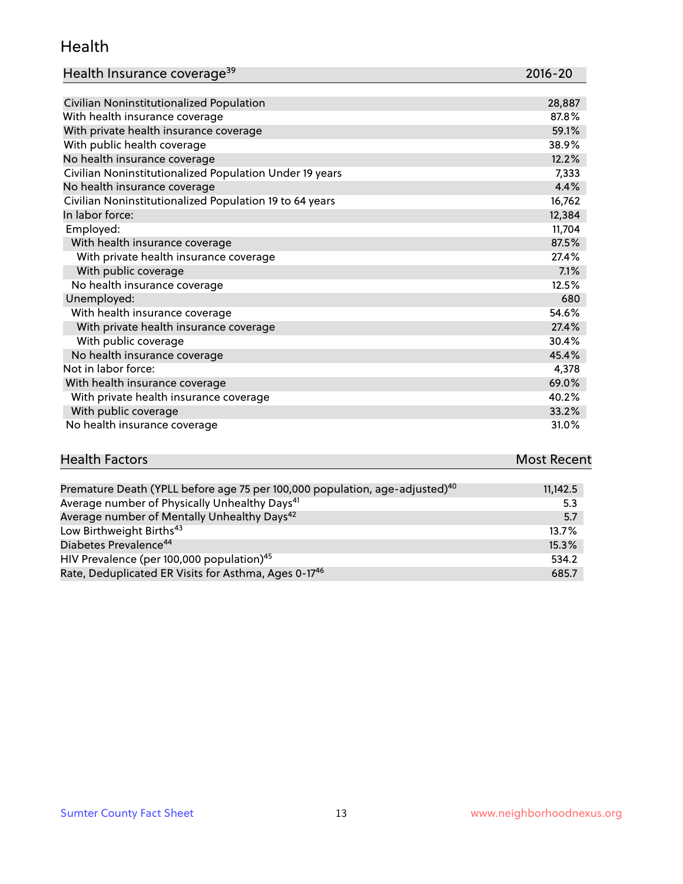#### Health

| Health Insurance coverage <sup>39</sup> | 2016-20 |
|-----------------------------------------|---------|
|-----------------------------------------|---------|

| Civilian Noninstitutionalized Population                | 28,887 |
|---------------------------------------------------------|--------|
| With health insurance coverage                          | 87.8%  |
| With private health insurance coverage                  | 59.1%  |
| With public health coverage                             | 38.9%  |
| No health insurance coverage                            | 12.2%  |
| Civilian Noninstitutionalized Population Under 19 years | 7,333  |
| No health insurance coverage                            | 4.4%   |
| Civilian Noninstitutionalized Population 19 to 64 years | 16,762 |
| In labor force:                                         | 12,384 |
| Employed:                                               | 11,704 |
| With health insurance coverage                          | 87.5%  |
| With private health insurance coverage                  | 27.4%  |
| With public coverage                                    | 7.1%   |
| No health insurance coverage                            | 12.5%  |
| Unemployed:                                             | 680    |
| With health insurance coverage                          | 54.6%  |
| With private health insurance coverage                  | 27.4%  |
| With public coverage                                    | 30.4%  |
| No health insurance coverage                            | 45.4%  |
| Not in labor force:                                     | 4,378  |
| With health insurance coverage                          | 69.0%  |
| With private health insurance coverage                  | 40.2%  |
| With public coverage                                    | 33.2%  |
| No health insurance coverage                            | 31.0%  |

| <b>Health Factors</b> | <b>Most Recent</b> |
|-----------------------|--------------------|
|                       |                    |

| Premature Death (YPLL before age 75 per 100,000 population, age-adjusted) <sup>40</sup> | 11,142.5 |
|-----------------------------------------------------------------------------------------|----------|
| Average number of Physically Unhealthy Days <sup>41</sup>                               | 5.3      |
| Average number of Mentally Unhealthy Days <sup>42</sup>                                 | 5.7      |
| Low Birthweight Births <sup>43</sup>                                                    | $13.7\%$ |
| Diabetes Prevalence <sup>44</sup>                                                       | 15.3%    |
| HIV Prevalence (per 100,000 population) <sup>45</sup>                                   | 534.2    |
| Rate, Deduplicated ER Visits for Asthma, Ages 0-17 <sup>46</sup>                        | 685.7    |